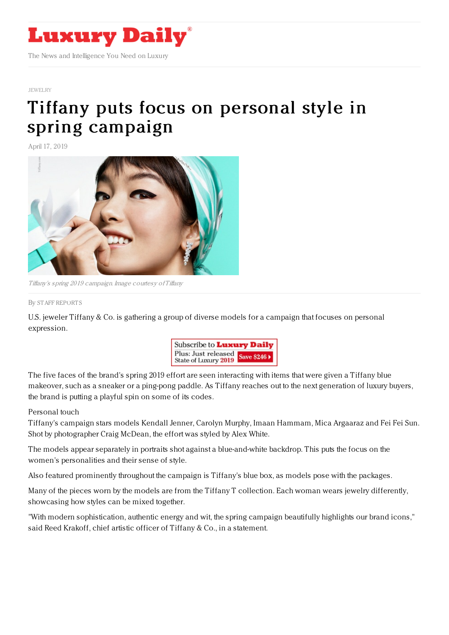

#### [JEWELRY](https://www.luxurydaily.com/category/sectors/jewelry/)

# Tiffany puts focus on personal style in spring [campaign](https://www.luxurydaily.com/tiffany-puts-focus-on-personal-style-in-spring-campaign/)

April 17, 2019



Tiffany's spring 2019 campaign. Image courtesy of Tiffany

#### By STAFF [REPORT](file:///author/staff-reports) S

U.S. jeweler Tiffany & Co. is gathering a group of diverse models for a campaign that focuses on personal expression.



The five faces of the brand's spring 2019 effort are seen interacting with items that were given a Tiffany blue makeover, such as a sneaker or a ping-pong paddle. As Tiffany reaches out to the next generation of luxury buyers, the brand is putting a playful spin on some of its codes.

### Personal touch

Tiffany's campaign stars models Kendall Jenner, Carolyn Murphy, Imaan Hammam, Mica Argaaraz and Fei Fei Sun. Shot by photographer Craig McDean, the effort was styled by Alex White.

The models appear separately in portraits shot against a blue-and-white backdrop. This puts the focus on the women's personalities and their sense of style.

Also featured prominently throughout the campaign is Tiffany's blue box, as models pose with the packages.

Many of the pieces worn by the models are from the Tiffany T collection. Each woman wears jewelry differently, showcasing how styles can be mixed together.

"With modern sophistication, authentic energy and wit, the spring campaign beautifully highlights our brand icons," said Reed Krakoff, chief artistic officer of Tiffany & Co., in a statement.